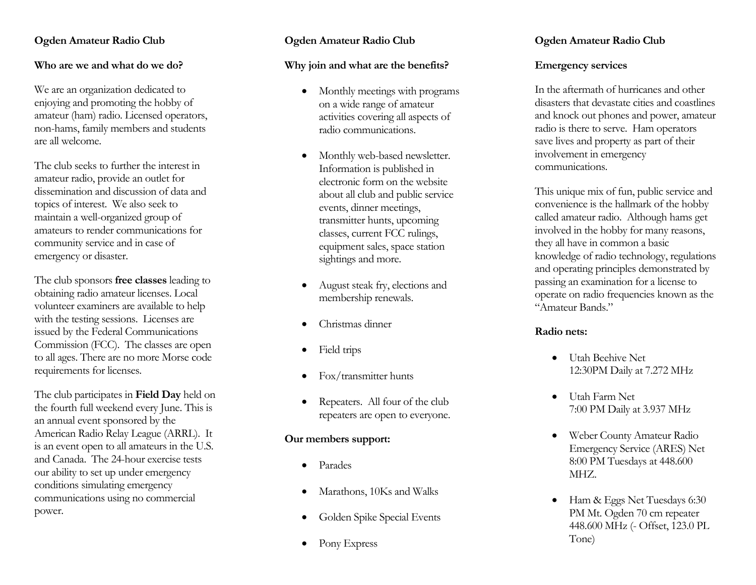#### **Ogden Amateur Radio Club**

#### **Who are we and what do we do?**

We are a n organization dedicated to enjoying and promoting the hobby of amateur (ham) radio. Licensed operators, non -hams, family members and students are all welcome.

The club seeks to further the interest in amateur radio, provide an outlet for dissemination and discussion of data and topics of interest. We also seek to maintain a well -organized group of amateurs to render communications for community service and in case of emergency or disaster.

The club sponsors **free classes** leading to obtaining radio amateur licenses . Local volunteer examiners are available to help with the testing sessions. Licenses are issued by the Federal Communications Commission (FCC). The classes are open to all ages. There are no more Morse code requirements for licenses.

The club participates in **Field Day** held on the fourth full weekend every June. This is an annual event sponsored by the American Radio Relay League (ARRL). It is a n event open to all amateurs in the U.S. and Canada. The 24 -hour exercise test s our ability to set up under emergency conditions simulating emergency communications using no commercial power.

#### **Ogden Amateur Radio Club**

#### **Why join and what are the benefits?**

- Monthly meetings with programs on a wide range of amateur activities covering all aspects of radio communications.
- Monthly web -based newsletter. Information is published in electronic form on the website about all club and public service events, dinner meetings, transmitter hunts, upcoming classes, current FCC rulings, equipment sales, space station sightings and more.
- August steak fry , elections and membership renewals.
- Christmas dinner
- Field trips
- Fox/transmitter hunts
- Repeaters. All four of the club repeaters are open to everyone.

#### **Our members support:**

- Parades
- Marathons, 10Ks and Walks
- Golden Spike Special Events
- Pony Express

#### **Ogden Amateur Radio Club**

#### **Emergency services**

In the aftermath of hurricanes and other disasters that devastate cities and coastlines and knock out phones and power, amateur radio is there to serve. Ham operators save lives and property as part of their involvement in emergency communications.

This unique mix of fun, public service and convenience is the hallmark of the hobby called amateur radio. Although hams get involved in the hobby for many re asons, they all have in common a basic knowledge of radio technology , regulations and operating principles demonstrated by passing an e xamination for a license to operate on radio frequencies known as the "Amateur Bands."

#### **Radio nets:**

- Utah Beehive Net 12:30PM Daily at 7.272 MHz
- Utah Farm Net 7:00 PM Daily at 3.937 MHz
- Weber County Amateur Radio Emergency Service (ARES) Net 8:00 PM Tuesdays at 448.600 MHZ.
- Ham & Eggs Net Tuesdays 6:30 PM Mt . Ogden 70 cm repeater 448.600 MHz (- Offset, 123.0 PL Tone)